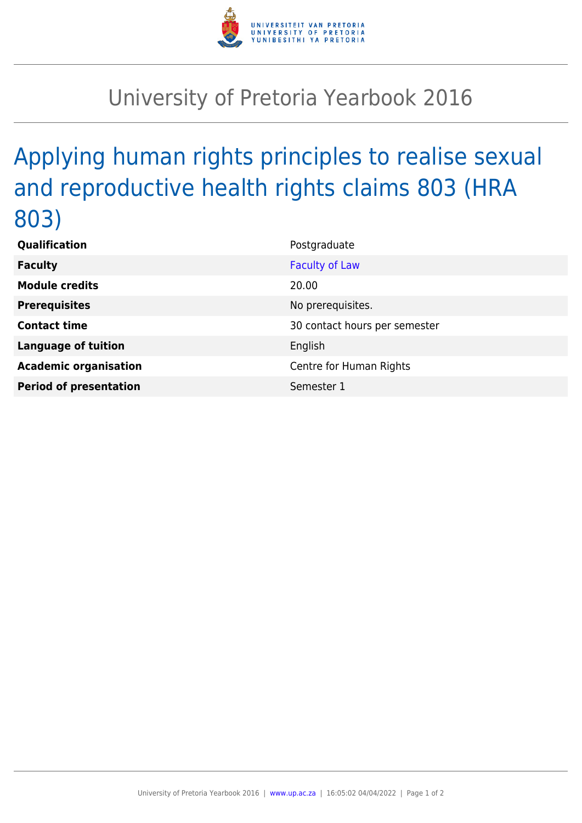

## University of Pretoria Yearbook 2016

## Applying human rights principles to realise sexual and reproductive health rights claims 803 (HRA 803)

| Qualification                 | Postgraduate                  |
|-------------------------------|-------------------------------|
| <b>Faculty</b>                | <b>Faculty of Law</b>         |
| <b>Module credits</b>         | 20.00                         |
| <b>Prerequisites</b>          | No prerequisites.             |
| <b>Contact time</b>           | 30 contact hours per semester |
| <b>Language of tuition</b>    | English                       |
| <b>Academic organisation</b>  | Centre for Human Rights       |
| <b>Period of presentation</b> | Semester 1                    |